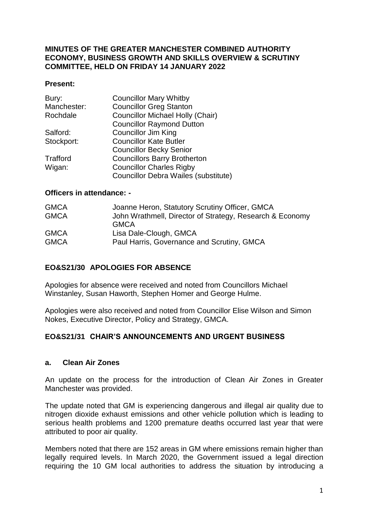#### **MINUTES OF THE GREATER MANCHESTER COMBINED AUTHORITY ECONOMY, BUSINESS GROWTH AND SKILLS OVERVIEW & SCRUTINY COMMITTEE, HELD ON FRIDAY 14 JANUARY 2022**

#### **Present:**

| <b>Councillor Mary Whitby</b>           |
|-----------------------------------------|
| <b>Councillor Greg Stanton</b>          |
| <b>Councillor Michael Holly (Chair)</b> |
| <b>Councillor Raymond Dutton</b>        |
| <b>Councillor Jim King</b>              |
| <b>Councillor Kate Butler</b>           |
| <b>Councillor Becky Senior</b>          |
| <b>Councillors Barry Brotherton</b>     |
| <b>Councillor Charles Rigby</b>         |
| Councillor Debra Wailes (substitute)    |
|                                         |

#### **Officers in attendance: -**

| <b>GMCA</b> | Joanne Heron, Statutory Scrutiny Officer, GMCA           |
|-------------|----------------------------------------------------------|
| <b>GMCA</b> | John Wrathmell, Director of Strategy, Research & Economy |
|             | <b>GMCA</b>                                              |
| <b>GMCA</b> | Lisa Dale-Clough, GMCA                                   |
| <b>GMCA</b> | Paul Harris, Governance and Scrutiny, GMCA               |

### **EO&S21/30 APOLOGIES FOR ABSENCE**

Apologies for absence were received and noted from Councillors Michael Winstanley, Susan Haworth, Stephen Homer and George Hulme.

Apologies were also received and noted from Councillor Elise Wilson and Simon Nokes, Executive Director, Policy and Strategy, GMCA.

#### **EO&S21/31 CHAIR'S ANNOUNCEMENTS AND URGENT BUSINESS**

#### **a. Clean Air Zones**

An update on the process for the introduction of Clean Air Zones in Greater Manchester was provided.

The update noted that GM is experiencing dangerous and illegal air quality due to nitrogen dioxide exhaust emissions and other vehicle pollution which is leading to serious health problems and 1200 premature deaths occurred last year that were attributed to poor air quality.

Members noted that there are 152 areas in GM where emissions remain higher than legally required levels. In March 2020, the Government issued a legal direction requiring the 10 GM local authorities to address the situation by introducing a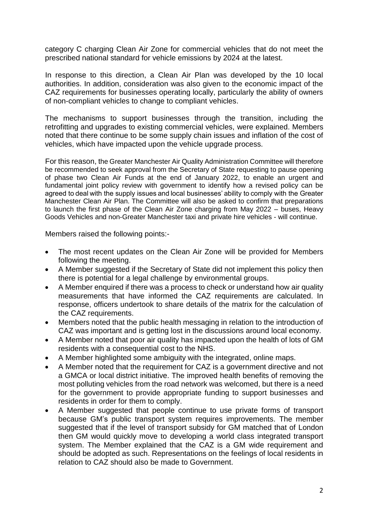category C charging Clean Air Zone for commercial vehicles that do not meet the prescribed national standard for vehicle emissions by 2024 at the latest.

In response to this direction, a Clean Air Plan was developed by the 10 local authorities. In addition, consideration was also given to the economic impact of the CAZ requirements for businesses operating locally, particularly the ability of owners of non-compliant vehicles to change to compliant vehicles.

The mechanisms to support businesses through the transition, including the retrofitting and upgrades to existing commercial vehicles, were explained. Members noted that there continue to be some supply chain issues and inflation of the cost of vehicles, which have impacted upon the vehicle upgrade process.

For this reason, the Greater Manchester Air Quality Administration Committee will therefore be recommended to seek approval from the Secretary of State requesting to pause opening of phase two Clean Air Funds at the end of January 2022, to enable an urgent and fundamental joint policy review with government to identify how a revised policy can be agreed to deal with the supply issues and local businesses' ability to comply with the Greater Manchester Clean Air Plan. The Committee will also be asked to confirm that preparations to launch the first phase of the Clean Air Zone charging from May 2022 – buses, Heavy Goods Vehicles and non-Greater Manchester taxi and private hire vehicles - will continue.

Members raised the following points:-

- The most recent updates on the Clean Air Zone will be provided for Members following the meeting.
- A Member suggested if the Secretary of State did not implement this policy then there is potential for a legal challenge by environmental groups.
- A Member enquired if there was a process to check or understand how air quality measurements that have informed the CAZ requirements are calculated. In response, officers undertook to share details of the matrix for the calculation of the CAZ requirements.
- Members noted that the public health messaging in relation to the introduction of CAZ was important and is getting lost in the discussions around local economy.
- A Member noted that poor air quality has impacted upon the health of lots of GM residents with a consequential cost to the NHS.
- A Member highlighted some ambiguity with the integrated, online maps.
- A Member noted that the requirement for CAZ is a government directive and not a GMCA or local district initiative. The improved health benefits of removing the most polluting vehicles from the road network was welcomed, but there is a need for the government to provide appropriate funding to support businesses and residents in order for them to comply.
- A Member suggested that people continue to use private forms of transport because GM's public transport system requires improvements. The member suggested that if the level of transport subsidy for GM matched that of London then GM would quickly move to developing a world class integrated transport system. The Member explained that the CAZ is a GM wide requirement and should be adopted as such. Representations on the feelings of local residents in relation to CAZ should also be made to Government.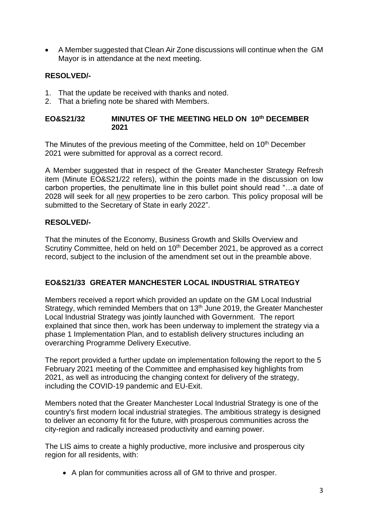A Member suggested that Clean Air Zone discussions will continue when the GM Mayor is in attendance at the next meeting.

## **RESOLVED/-**

- 1. That the update be received with thanks and noted.
- 2. That a briefing note be shared with Members.

#### **EO&S21/32 MINUTES OF THE MEETING HELD ON 10th DECEMBER 2021**

The Minutes of the previous meeting of the Committee, held on 10<sup>th</sup> December 2021 were submitted for approval as a correct record.

A Member suggested that in respect of the Greater Manchester Strategy Refresh item (Minute EO&S21/22 refers), within the points made in the discussion on low carbon properties, the penultimate line in this bullet point should read "…a date of 2028 will seek for all new properties to be zero carbon. This policy proposal will be submitted to the Secretary of State in early 2022".

## **RESOLVED/-**

That the minutes of the Economy, Business Growth and Skills Overview and Scrutiny Committee, held on held on 10<sup>th</sup> December 2021, be approved as a correct record, subject to the inclusion of the amendment set out in the preamble above.

## **EO&S21/33 GREATER MANCHESTER LOCAL INDUSTRIAL STRATEGY**

Members received a report which provided an update on the GM Local Industrial Strategy, which reminded Members that on 13<sup>th</sup> June 2019, the Greater Manchester Local Industrial Strategy was jointly launched with Government. The report explained that since then, work has been underway to implement the strategy via a phase 1 Implementation Plan, and to establish delivery structures including an overarching Programme Delivery Executive.

The report provided a further update on implementation following the report to the 5 February 2021 meeting of the Committee and emphasised key highlights from 2021, as well as introducing the changing context for delivery of the strategy, including the COVID-19 pandemic and EU-Exit.

Members noted that the Greater Manchester Local Industrial Strategy is one of the country's first modern local industrial strategies. The ambitious strategy is designed to deliver an economy fit for the future, with prosperous communities across the city-region and radically increased productivity and earning power.

The LIS aims to create a highly productive, more inclusive and prosperous city region for all residents, with:

• A plan for communities across all of GM to thrive and prosper.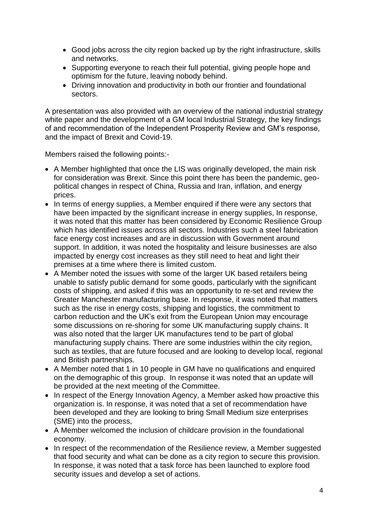- Good jobs across the city region backed up by the right infrastructure, skills and networks.
- Supporting everyone to reach their full potential, giving people hope and optimism for the future, leaving nobody behind.
- Driving innovation and productivity in both our frontier and foundational sectors.

A presentation was also provided with an overview of the national industrial strategy white paper and the development of a GM local Industrial Strategy, the key findings of and recommendation of the Independent Prosperity Review and GM's response, and the impact of Brexit and Covid-19.

Members raised the following points:-

- A Member highlighted that once the LIS was originally developed, the main risk for consideration was Brexit. Since this point there has been the pandemic, geopolitical changes in respect of China, Russia and Iran, inflation, and energy prices.
- In terms of energy supplies, a Member enquired if there were any sectors that have been impacted by the significant increase in energy supplies, In response, it was noted that this matter has been considered by Economic Resilience Group which has identified issues across all sectors. Industries such a steel fabrication face energy cost increases and are in discussion with Government around support. In addition, it was noted the hospitality and leisure businesses are also impacted by energy cost increases as they still need to heat and light their premises at a time where there is limited custom.
- A Member noted the issues with some of the larger UK based retailers being unable to satisfy public demand for some goods, particularly with the significant costs of shipping, and asked if this was an opportunity to re-set and review the Greater Manchester manufacturing base. In response, it was noted that matters such as the rise in energy costs, shipping and logistics, the commitment to carbon reduction and the UK's exit from the European Union may encourage some discussions on re-shoring for some UK manufacturing supply chains. It was also noted that the larger UK manufactures tend to be part of global manufacturing supply chains. There are some industries within the city region, such as textiles, that are future focused and are looking to develop local, regional and British partnerships.
- A Member noted that 1 in 10 people in GM have no qualifications and enquired on the demographic of this group. In response it was noted that an update will be provided at the next meeting of the Committee.
- In respect of the Energy Innovation Agency, a Member asked how proactive this organization is. In response, it was noted that a set of recommendation have been developed and they are looking to bring Small Medium size enterprises (SME) into the process,
- A Member welcomed the inclusion of childcare provision in the foundational economy.
- In respect of the recommendation of the Resilience review, a Member suggested that food security and what can be done as a city region to secure this provision. In response, it was noted that a task force has been launched to explore food security issues and develop a set of actions.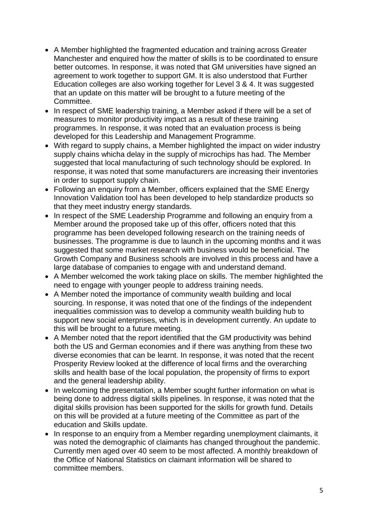- A Member highlighted the fragmented education and training across Greater Manchester and enquired how the matter of skills is to be coordinated to ensure better outcomes. In response, it was noted that GM universities have signed an agreement to work together to support GM. It is also understood that Further Education colleges are also working together for Level 3 & 4. It was suggested that an update on this matter will be brought to a future meeting of the Committee.
- In respect of SME leadership training, a Member asked if there will be a set of measures to monitor productivity impact as a result of these training programmes. In response, it was noted that an evaluation process is being developed for this Leadership and Management Programme.
- With regard to supply chains, a Member highlighted the impact on wider industry supply chains whicha delay in the supply of microchips has had. The Member suggested that local manufacturing of such technology should be explored. In response, it was noted that some manufacturers are increasing their inventories in order to support supply chain.
- Following an enquiry from a Member, officers explained that the SME Energy Innovation Validation tool has been developed to help standardize products so that they meet industry energy standards.
- In respect of the SME Leadership Programme and following an enquiry from a Member around the proposed take up of this offer, officers noted that this programme has been developed following research on the training needs of businesses. The programme is due to launch in the upcoming months and it was suggested that some market research with business would be beneficial. The Growth Company and Business schools are involved in this process and have a large database of companies to engage with and understand demand.
- A Member welcomed the work taking place on skills. The member highlighted the need to engage with younger people to address training needs.
- A Member noted the importance of community wealth building and local sourcing. In response, it was noted that one of the findings of the independent inequalities commission was to develop a community wealth building hub to support new social enterprises, which is in development currently. An update to this will be brought to a future meeting.
- A Member noted that the report identified that the GM productivity was behind both the US and German economies and if there was anything from these two diverse economies that can be learnt. In response, it was noted that the recent Prosperity Review looked at the difference of local firms and the overarching skills and health base of the local population, the propensity of firms to export and the general leadership ability.
- In welcoming the presentation, a Member sought further information on what is being done to address digital skills pipelines. In response, it was noted that the digital skills provision has been supported for the skills for growth fund. Details on this will be provided at a future meeting of the Committee as part of the education and Skills update.
- In response to an enquiry from a Member regarding unemployment claimants, it was noted the demographic of claimants has changed throughout the pandemic. Currently men aged over 40 seem to be most affected. A monthly breakdown of the Office of National Statistics on claimant information will be shared to committee members.